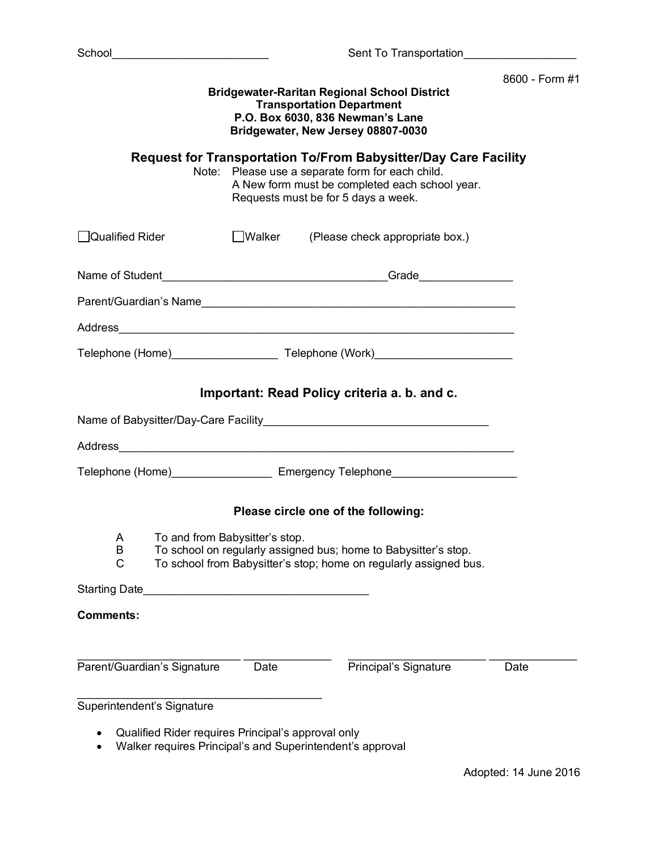|                                                                                  | Sent To Transportation Sent To Transportation Sent To Transportation Sent To Transportation Sent To Transportation Sent To Transportation Sent To Transportation Sent To Transportation Sent To Transportation Sent To Transpo |                                                                                                                                                                                                                     |                |
|----------------------------------------------------------------------------------|--------------------------------------------------------------------------------------------------------------------------------------------------------------------------------------------------------------------------------|---------------------------------------------------------------------------------------------------------------------------------------------------------------------------------------------------------------------|----------------|
|                                                                                  |                                                                                                                                                                                                                                | <b>Bridgewater-Raritan Regional School District</b><br><b>Transportation Department</b><br>P.O. Box 6030, 836 Newman's Lane<br>Bridgewater, New Jersey 08807-0030                                                   | 8600 - Form #1 |
|                                                                                  |                                                                                                                                                                                                                                | <b>Request for Transportation To/From Babysitter/Day Care Facility</b><br>Note: Please use a separate form for each child.<br>A New form must be completed each school year.<br>Requests must be for 5 days a week. |                |
| <b>Qualified Rider</b>                                                           | <b>Walker</b>                                                                                                                                                                                                                  | (Please check appropriate box.)                                                                                                                                                                                     |                |
|                                                                                  |                                                                                                                                                                                                                                |                                                                                                                                                                                                                     |                |
|                                                                                  |                                                                                                                                                                                                                                |                                                                                                                                                                                                                     |                |
|                                                                                  |                                                                                                                                                                                                                                |                                                                                                                                                                                                                     |                |
|                                                                                  |                                                                                                                                                                                                                                |                                                                                                                                                                                                                     |                |
|                                                                                  |                                                                                                                                                                                                                                | Important: Read Policy criteria a. b. and c.                                                                                                                                                                        |                |
|                                                                                  |                                                                                                                                                                                                                                |                                                                                                                                                                                                                     |                |
|                                                                                  |                                                                                                                                                                                                                                |                                                                                                                                                                                                                     |                |
|                                                                                  |                                                                                                                                                                                                                                | Telephone (Home) _____________________ Emergency Telephone______________________                                                                                                                                    |                |
|                                                                                  |                                                                                                                                                                                                                                | Please circle one of the following:                                                                                                                                                                                 |                |
| A<br>B<br>C                                                                      | To and from Babysitter's stop.                                                                                                                                                                                                 | To school on regularly assigned bus; home to Babysitter's stop.<br>To school from Babysitter's stop; home on regularly assigned bus.                                                                                |                |
| Starting Date                                                                    | <u> 1989 - Paul Barbara, primeira estadounidense e a continua de la continua de la continua de la continua de la</u>                                                                                                           |                                                                                                                                                                                                                     |                |
| <b>Comments:</b>                                                                 |                                                                                                                                                                                                                                |                                                                                                                                                                                                                     |                |
| Parent/Guardian's Signature                                                      | Date                                                                                                                                                                                                                           | Principal's Signature                                                                                                                                                                                               | Date           |
| Superintendent's Signature<br>Qualified Rider requires Principal's approval only |                                                                                                                                                                                                                                |                                                                                                                                                                                                                     |                |
|                                                                                  |                                                                                                                                                                                                                                | Walker requires Principal's and Superintendent's approval                                                                                                                                                           |                |